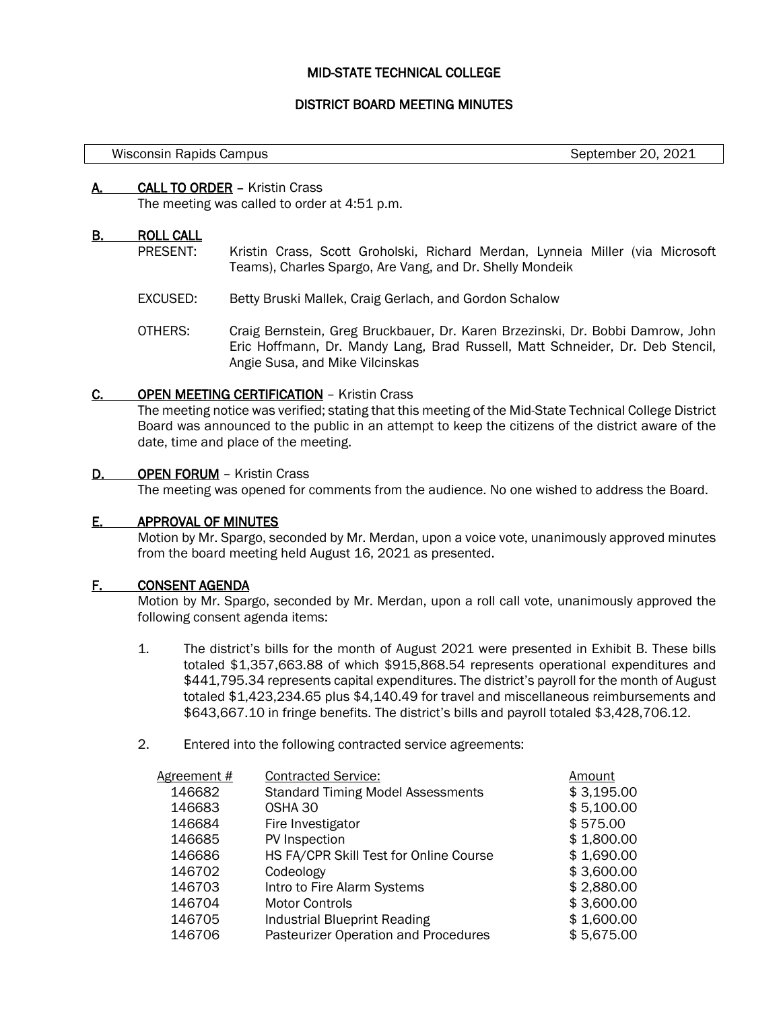# MID-STATE TECHNICAL COLLEGE

# DISTRICT BOARD MEETING MINUTES

#### Wisconsin Rapids Campus Number 20, 2021

## A. CALL TO ORDER – Kristin Crass

The meeting was called to order at 4:51 p.m.

## B. ROLL CALL

l,

- PRESENT: Kristin Crass, Scott Groholski, Richard Merdan, Lynneia Miller (via Microsoft Teams), Charles Spargo, Are Vang, and Dr. Shelly Mondeik
- EXCUSED: Betty Bruski Mallek, Craig Gerlach, and Gordon Schalow
- OTHERS: Craig Bernstein, Greg Bruckbauer, Dr. Karen Brzezinski, Dr. Bobbi Damrow, John Eric Hoffmann, Dr. Mandy Lang, Brad Russell, Matt Schneider, Dr. Deb Stencil, Angie Susa, and Mike Vilcinskas

## C. OPEN MEETING CERTIFICATION – Kristin Crass

The meeting notice was verified; stating that this meeting of the Mid-State Technical College District Board was announced to the public in an attempt to keep the citizens of the district aware of the date, time and place of the meeting.

## D. OPEN FORUM - Kristin Crass

The meeting was opened for comments from the audience. No one wished to address the Board.

# E. APPROVAL OF MINUTES

Motion by Mr. Spargo, seconded by Mr. Merdan, upon a voice vote, unanimously approved minutes from the board meeting held August 16, 2021 as presented.

### F. CONSENT AGENDA

Motion by Mr. Spargo, seconded by Mr. Merdan, upon a roll call vote, unanimously approved the following consent agenda items:

- 1. The district's bills for the month of August 2021 were presented in Exhibit B. These bills totaled \$1,357,663.88 of which \$915,868.54 represents operational expenditures and \$441,795.34 represents capital expenditures. The district's payroll for the month of August totaled \$1,423,234.65 plus \$4,140.49 for travel and miscellaneous reimbursements and \$643,667.10 in fringe benefits. The district's bills and payroll totaled \$3,428,706.12.
- 2. Entered into the following contracted service agreements:

| Agreement # | <b>Contracted Service:</b>               | Amount     |
|-------------|------------------------------------------|------------|
| 146682      | <b>Standard Timing Model Assessments</b> | \$3,195.00 |
| 146683      | OSHA 30                                  | \$5,100.00 |
| 146684      | Fire Investigator                        | \$575.00   |
| 146685      | PV Inspection                            | \$1,800.00 |
| 146686      | HS FA/CPR Skill Test for Online Course   | \$1,690.00 |
| 146702      | Codeology                                | \$3,600.00 |
| 146703      | Intro to Fire Alarm Systems              | \$2,880.00 |
| 146704      | <b>Motor Controls</b>                    | \$3,600.00 |
| 146705      | <b>Industrial Blueprint Reading</b>      | \$1,600.00 |
| 146706      | Pasteurizer Operation and Procedures     | \$5,675.00 |
|             |                                          |            |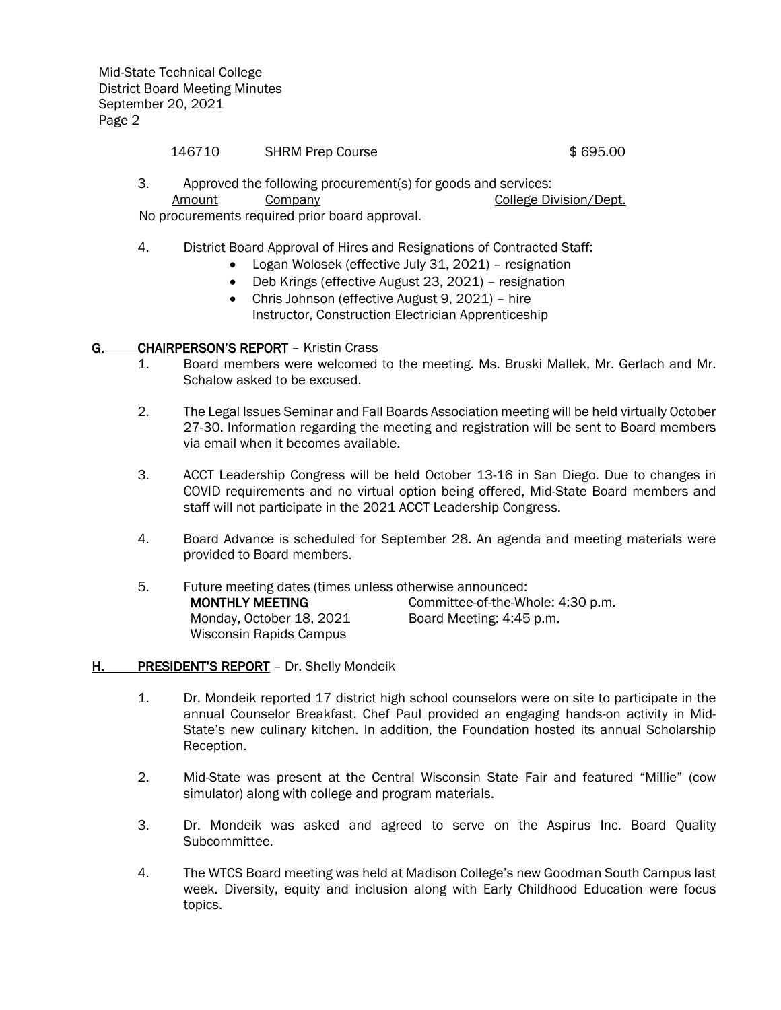Mid-State Technical College District Board Meeting Minutes September 20, 2021 Page 2

## 146710 SHRM Prep Course **146710** \$ 695.00

3. Approved the following procurement(s) for goods and services: Amount Company College Division/Dept. No procurements required prior board approval.

- 4. District Board Approval of Hires and Resignations of Contracted Staff:
	- Logan Wolosek (effective July 31, 2021) resignation
	- Deb Krings (effective August 23, 2021) resignation
	- Chris Johnson (effective August 9, 2021) hire Instructor, Construction Electrician Apprenticeship

# G. CHAIRPERSON'S REPORT - Kristin Crass

- 1. Board members were welcomed to the meeting. Ms. Bruski Mallek, Mr. Gerlach and Mr. Schalow asked to be excused.
- 2. The Legal Issues Seminar and Fall Boards Association meeting will be held virtually October 27-30. Information regarding the meeting and registration will be sent to Board members via email when it becomes available.
- 3. ACCT Leadership Congress will be held October 13-16 in San Diego. Due to changes in COVID requirements and no virtual option being offered, Mid-State Board members and staff will not participate in the 2021 ACCT Leadership Congress.
- 4. Board Advance is scheduled for September 28. An agenda and meeting materials were provided to Board members.

| 5. | Future meeting dates (times unless otherwise announced: |                                   |  |  |
|----|---------------------------------------------------------|-----------------------------------|--|--|
|    | <b>MONTHLY MEETING</b>                                  | Committee-of-the-Whole: 4:30 p.m. |  |  |
|    | Monday, October 18, 2021                                | Board Meeting: 4:45 p.m.          |  |  |
|    | Wisconsin Rapids Campus                                 |                                   |  |  |

# H. PRESIDENT'S REPORT - Dr. Shelly Mondeik

- 1. Dr. Mondeik reported 17 district high school counselors were on site to participate in the annual Counselor Breakfast. Chef Paul provided an engaging hands-on activity in Mid-State's new culinary kitchen. In addition, the Foundation hosted its annual Scholarship Reception.
- 2. Mid-State was present at the Central Wisconsin State Fair and featured "Millie" (cow simulator) along with college and program materials.
- 3. Dr. Mondeik was asked and agreed to serve on the Aspirus Inc. Board Quality Subcommittee.
- 4. The WTCS Board meeting was held at Madison College's new Goodman South Campus last week. Diversity, equity and inclusion along with Early Childhood Education were focus topics.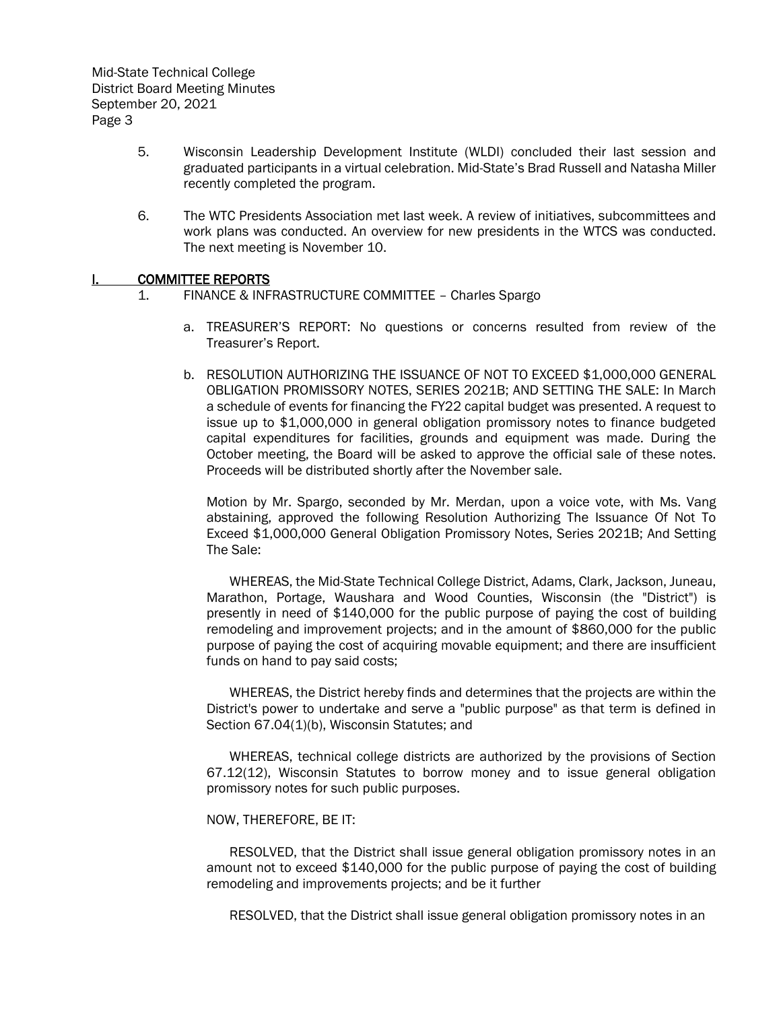- 5. Wisconsin Leadership Development Institute (WLDI) concluded their last session and graduated participants in a virtual celebration. Mid-State's Brad Russell and Natasha Miller recently completed the program.
- 6. The WTC Presidents Association met last week. A review of initiatives, subcommittees and work plans was conducted. An overview for new presidents in the WTCS was conducted. The next meeting is November 10.

## I. COMMITTEE REPORTS

- 1. FINANCE & INFRASTRUCTURE COMMITTEE Charles Spargo
	- a. TREASURER'S REPORT: No questions or concerns resulted from review of the Treasurer's Report.
	- b. RESOLUTION AUTHORIZING THE ISSUANCE OF NOT TO EXCEED \$1,000,000 GENERAL OBLIGATION PROMISSORY NOTES, SERIES 2021B; AND SETTING THE SALE: In March a schedule of events for financing the FY22 capital budget was presented. A request to issue up to \$1,000,000 in general obligation promissory notes to finance budgeted capital expenditures for facilities, grounds and equipment was made. During the October meeting, the Board will be asked to approve the official sale of these notes. Proceeds will be distributed shortly after the November sale.

Motion by Mr. Spargo, seconded by Mr. Merdan, upon a voice vote, with Ms. Vang abstaining, approved the following Resolution Authorizing The Issuance Of Not To Exceed \$1,000,000 General Obligation Promissory Notes, Series 2021B; And Setting The Sale:

WHEREAS, the Mid-State Technical College District, Adams, Clark, Jackson, Juneau, Marathon, Portage, Waushara and Wood Counties, Wisconsin (the "District") is presently in need of \$140,000 for the public purpose of paying the cost of building remodeling and improvement projects; and in the amount of \$860,000 for the public purpose of paying the cost of acquiring movable equipment; and there are insufficient funds on hand to pay said costs;

WHEREAS, the District hereby finds and determines that the projects are within the District's power to undertake and serve a "public purpose" as that term is defined in Section 67.04(1)(b), Wisconsin Statutes; and

WHEREAS, technical college districts are authorized by the provisions of Section 67.12(12), Wisconsin Statutes to borrow money and to issue general obligation promissory notes for such public purposes.

### NOW, THEREFORE, BE IT:

RESOLVED, that the District shall issue general obligation promissory notes in an amount not to exceed \$140,000 for the public purpose of paying the cost of building remodeling and improvements projects; and be it further

RESOLVED, that the District shall issue general obligation promissory notes in an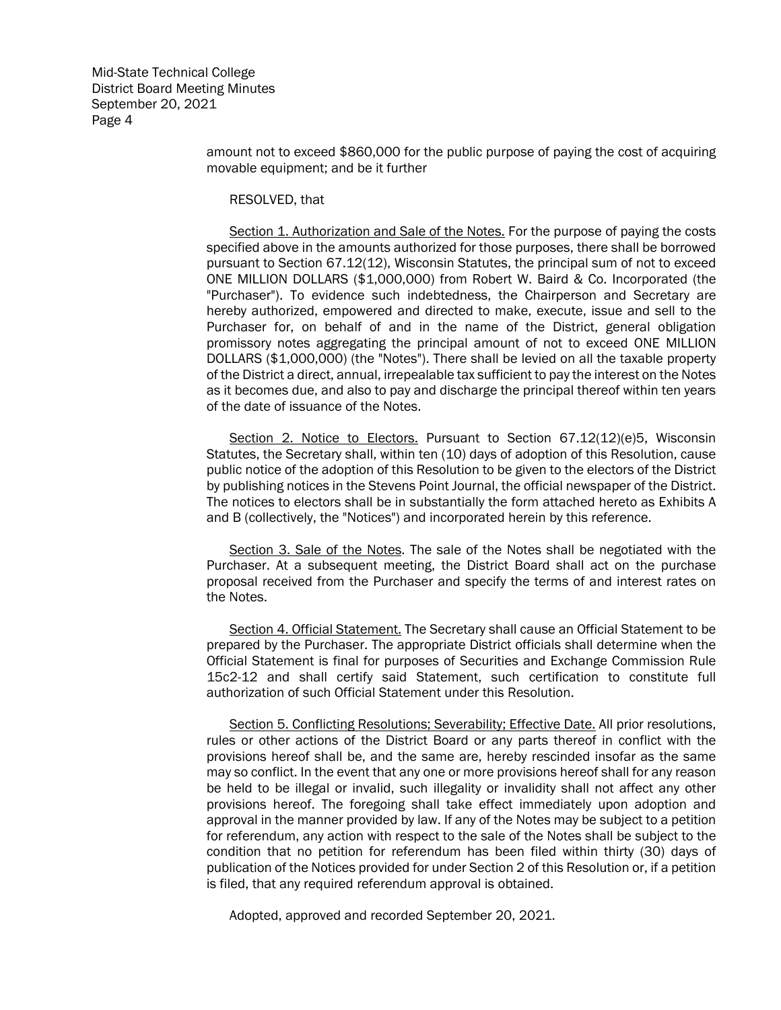Mid-State Technical College District Board Meeting Minutes September 20, 2021 Page 4

> amount not to exceed \$860,000 for the public purpose of paying the cost of acquiring movable equipment; and be it further

RESOLVED, that

Section 1. Authorization and Sale of the Notes. For the purpose of paying the costs specified above in the amounts authorized for those purposes, there shall be borrowed pursuant to Section 67.12(12), Wisconsin Statutes, the principal sum of not to exceed ONE MILLION DOLLARS (\$1,000,000) from Robert W. Baird & Co. Incorporated (the "Purchaser"). To evidence such indebtedness, the Chairperson and Secretary are hereby authorized, empowered and directed to make, execute, issue and sell to the Purchaser for, on behalf of and in the name of the District, general obligation promissory notes aggregating the principal amount of not to exceed ONE MILLION DOLLARS (\$1,000,000) (the "Notes"). There shall be levied on all the taxable property of the District a direct, annual, irrepealable tax sufficient to pay the interest on the Notes as it becomes due, and also to pay and discharge the principal thereof within ten years of the date of issuance of the Notes.

Section 2. Notice to Electors. Pursuant to Section 67.12(12)(e)5, Wisconsin Statutes, the Secretary shall, within ten (10) days of adoption of this Resolution, cause public notice of the adoption of this Resolution to be given to the electors of the District by publishing notices in the Stevens Point Journal, the official newspaper of the District. The notices to electors shall be in substantially the form attached hereto as Exhibits A and B (collectively, the "Notices") and incorporated herein by this reference.

Section 3. Sale of the Notes. The sale of the Notes shall be negotiated with the Purchaser. At a subsequent meeting, the District Board shall act on the purchase proposal received from the Purchaser and specify the terms of and interest rates on the Notes.

Section 4. Official Statement. The Secretary shall cause an Official Statement to be prepared by the Purchaser. The appropriate District officials shall determine when the Official Statement is final for purposes of Securities and Exchange Commission Rule 15c2-12 and shall certify said Statement, such certification to constitute full authorization of such Official Statement under this Resolution.

Section 5. Conflicting Resolutions; Severability; Effective Date. All prior resolutions, rules or other actions of the District Board or any parts thereof in conflict with the provisions hereof shall be, and the same are, hereby rescinded insofar as the same may so conflict. In the event that any one or more provisions hereof shall for any reason be held to be illegal or invalid, such illegality or invalidity shall not affect any other provisions hereof. The foregoing shall take effect immediately upon adoption and approval in the manner provided by law. If any of the Notes may be subject to a petition for referendum, any action with respect to the sale of the Notes shall be subject to the condition that no petition for referendum has been filed within thirty (30) days of publication of the Notices provided for under Section 2 of this Resolution or, if a petition is filed, that any required referendum approval is obtained.

Adopted, approved and recorded September 20, 2021.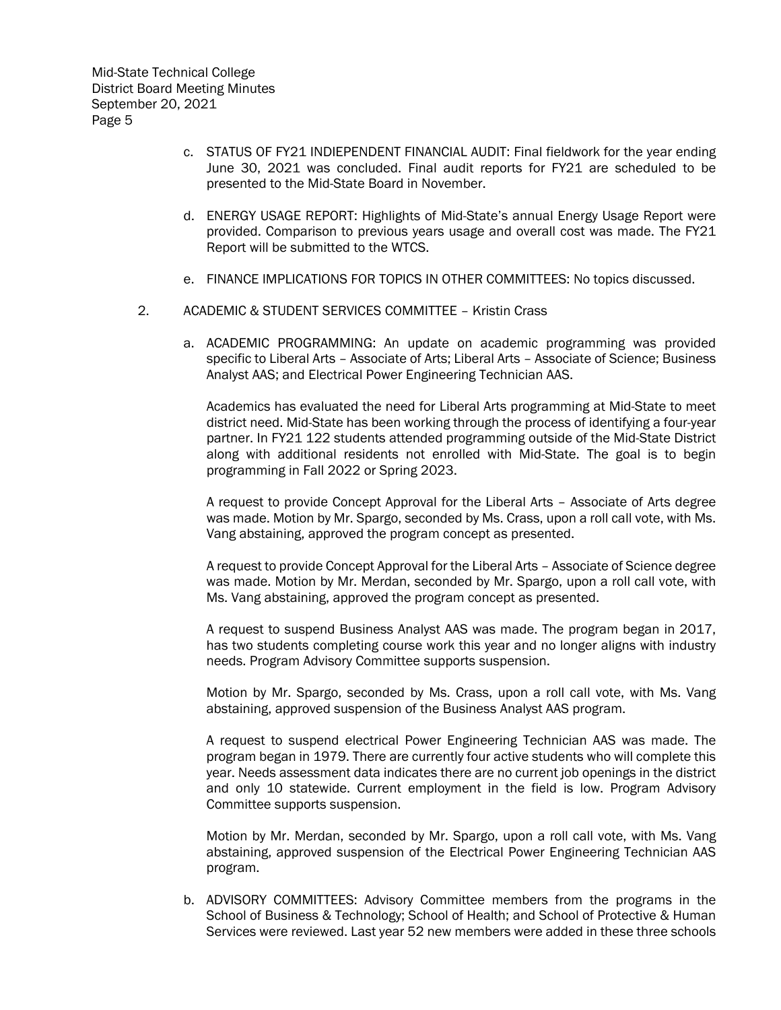- c. STATUS OF FY21 INDIEPENDENT FINANCIAL AUDIT: Final fieldwork for the year ending June 30, 2021 was concluded. Final audit reports for FY21 are scheduled to be presented to the Mid-State Board in November.
- d. ENERGY USAGE REPORT: Highlights of Mid-State's annual Energy Usage Report were provided. Comparison to previous years usage and overall cost was made. The FY21 Report will be submitted to the WTCS.
- e. FINANCE IMPLICATIONS FOR TOPICS IN OTHER COMMITTEES: No topics discussed.
- 2. ACADEMIC & STUDENT SERVICES COMMITTEE Kristin Crass
	- a. ACADEMIC PROGRAMMING: An update on academic programming was provided specific to Liberal Arts – Associate of Arts; Liberal Arts – Associate of Science; Business Analyst AAS; and Electrical Power Engineering Technician AAS.

Academics has evaluated the need for Liberal Arts programming at Mid-State to meet district need. Mid-State has been working through the process of identifying a four-year partner. In FY21 122 students attended programming outside of the Mid-State District along with additional residents not enrolled with Mid-State. The goal is to begin programming in Fall 2022 or Spring 2023.

A request to provide Concept Approval for the Liberal Arts – Associate of Arts degree was made. Motion by Mr. Spargo, seconded by Ms. Crass, upon a roll call vote, with Ms. Vang abstaining, approved the program concept as presented.

A request to provide Concept Approval for the Liberal Arts – Associate of Science degree was made. Motion by Mr. Merdan, seconded by Mr. Spargo, upon a roll call vote, with Ms. Vang abstaining, approved the program concept as presented.

A request to suspend Business Analyst AAS was made. The program began in 2017, has two students completing course work this year and no longer aligns with industry needs. Program Advisory Committee supports suspension.

Motion by Mr. Spargo, seconded by Ms. Crass, upon a roll call vote, with Ms. Vang abstaining, approved suspension of the Business Analyst AAS program.

A request to suspend electrical Power Engineering Technician AAS was made. The program began in 1979. There are currently four active students who will complete this year. Needs assessment data indicates there are no current job openings in the district and only 10 statewide. Current employment in the field is low. Program Advisory Committee supports suspension.

Motion by Mr. Merdan, seconded by Mr. Spargo, upon a roll call vote, with Ms. Vang abstaining, approved suspension of the Electrical Power Engineering Technician AAS program.

b. ADVISORY COMMITTEES: Advisory Committee members from the programs in the School of Business & Technology; School of Health; and School of Protective & Human Services were reviewed. Last year 52 new members were added in these three schools